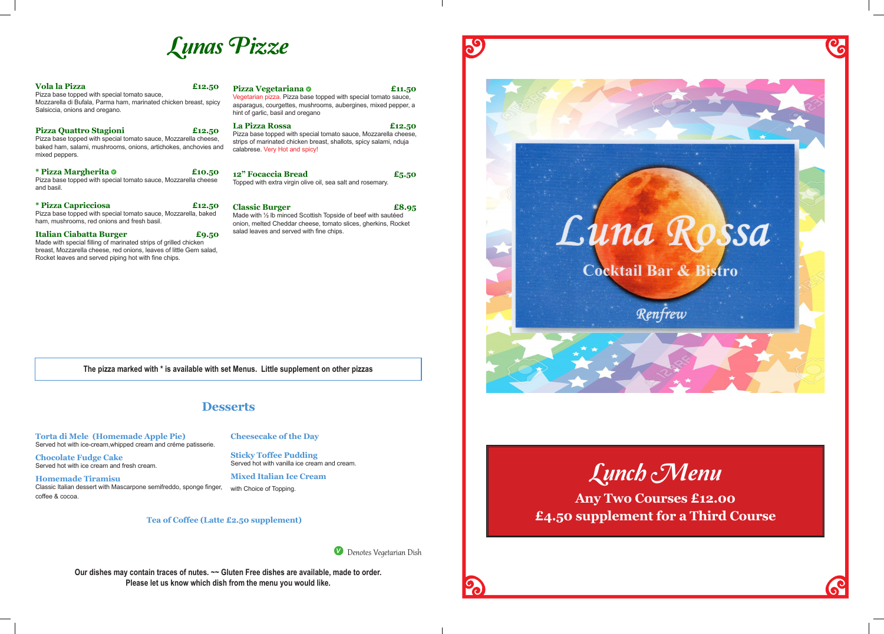Lunch Menu



**Any Two Courses £12.00 £4.50 supplement for a Third Course**



# Lunas Pizze

Denotes Vegetarian Dish

59

**The pizza marked with \* is available with set Menus. Little supplement on other pizzas**

**Our dishes may contain traces of nutes. ~~ Gluten Free dishes are available, made to order. Please let us know which dish from the menu you would like.**



# **Desserts**

**Torta di Mele (Homemade Apple Pie)**  Served hot with ice-cream,whipped cream and créme patisserie.

**Chocolate Fudge Cake**  Served hot with ice cream and fresh cream.

**Homemade Tiramisu** Classic Italian dessert with Mascarpone semifreddo, sponge finger, coffee & cocoa.

**Cheesecake of the Day** 

**Sticky Toffee Pudding** 

Served hot with vanilla ice cream and cream. **Mixed Italian Ice Cream** 

with Choice of Topping.

breast, Mozzarella cheese, red onions, leaves of little Gem salad,

| <b>Vola la Pizza</b><br>£12.50<br>Pizza base topped with special tomato sauce,<br>Mozzarella di Bufala, Parma ham, marinated chicken breast, spicy<br>Salsiccia, onions and oregano.            | <b>Pizza Vegetariana</b> O<br>£11.50<br>Vegetarian pizza. Pizza base topped with special tomato sauce,<br>asparagus, courgettes, mushrooms, aubergines, mixed pepper, a<br>hint of garlic, basil and oregano |
|-------------------------------------------------------------------------------------------------------------------------------------------------------------------------------------------------|--------------------------------------------------------------------------------------------------------------------------------------------------------------------------------------------------------------|
| <b>Pizza Quattro Stagioni</b><br>£12.50<br>Pizza base topped with special tomato sauce, Mozzarella cheese,<br>baked ham, salami, mushrooms, onions, artichokes, anchovies and<br>mixed peppers. | <b>La Pizza Rossa</b><br>£12.50<br>Pizza base topped with special tomato sauce, Mozzarella cheese,<br>strips of marinated chicken breast, shallots, spicy salami, nduja<br>calabrese. Very Hot and spicy!    |
| * Pizza Margherita 0<br>£10.50<br>Pizza base topped with special tomato sauce, Mozzarella cheese<br>and basil.                                                                                  | 12" Focaccia Bread<br>£5.50<br>Topped with extra virgin olive oil, sea salt and rosemary.                                                                                                                    |
| <i>*</i> Pizza Capricciosa<br>£12.50<br>Pizza base topped with special tomato sauce, Mozzarella, baked<br>ham, mushrooms, red onions and fresh basil.                                           | <b>Classic Burger</b><br>£8.95<br>Made with 1/2 lb minced Scottish Topside of beef with sautéed<br>onion, melted Cheddar cheese, tomato slices, gherkins, Rocket<br>salad leaves and served with fine chips. |
| <b>Italian Ciabatta Burger</b><br>£9.50<br>Made with special filling of marinated strips of grilled chicken                                                                                     |                                                                                                                                                                                                              |

Rocket leaves and served piping hot with fine chips.

**Tea of Coffee (Latte £2.50 supplement)**